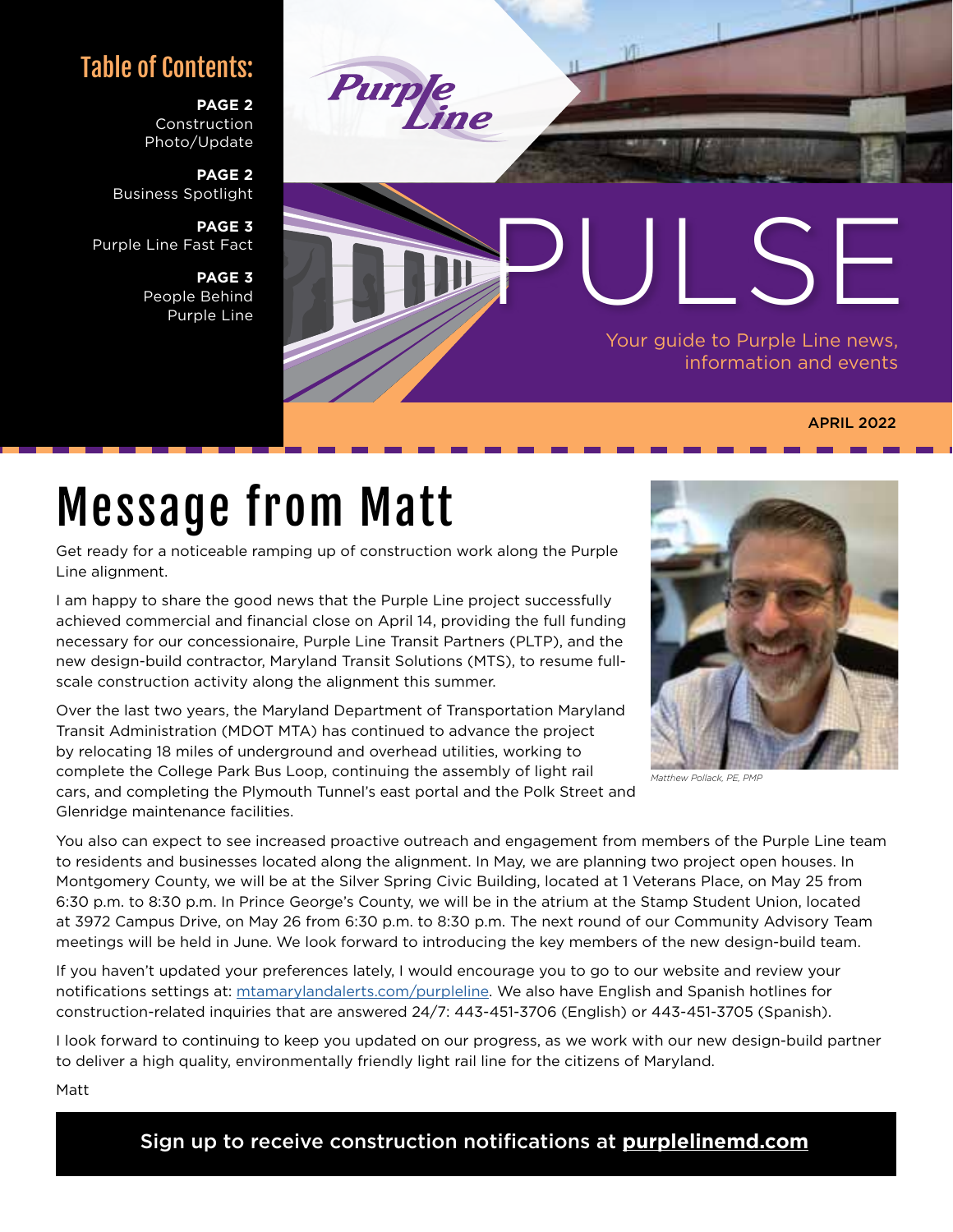#### Table of Contents:

**PAGE 2** Construction Photo/Update

**PAGE 2** Business Spotlight

**PAGE 3** Purple Line Fast Fact

> **PAGE 3** People Behind Purple Line



#### APRIL 2022

# Message from Matt

Get ready for a noticeable ramping up of construction work along the Purple Line alignment.

I am happy to share the good news that the Purple Line project successfully achieved commercial and financial close on April 14, providing the full funding necessary for our concessionaire, Purple Line Transit Partners (PLTP), and the new design-build contractor, Maryland Transit Solutions (MTS), to resume fullscale construction activity along the alignment this summer.

Over the last two years, the Maryland Department of Transportation Maryland Transit Administration (MDOT MTA) has continued to advance the project by relocating 18 miles of underground and overhead utilities, working to complete the College Park Bus Loop, continuing the assembly of light rail cars, and completing the Plymouth Tunnel's east portal and the Polk Street and Glenridge maintenance facilities.



You also can expect to see increased proactive outreach and engagement from members of the Purple Line team to residents and businesses located along the alignment. In May, we are planning two project open houses. In Montgomery County, we will be at the Silver Spring Civic Building, located at 1 Veterans Place, on May 25 from 6:30 p.m. to 8:30 p.m. In Prince George's County, we will be in the atrium at the Stamp Student Union, located at 3972 Campus Drive, on May 26 from 6:30 p.m. to 8:30 p.m. The next round of our Community Advisory Team meetings will be held in June. We look forward to introducing the key members of the new design-build team.

If you haven't updated your preferences lately, I would encourage you to go to our website and review your notifications settings at: [mtamarylandalerts.com/purpleline](https://mtamarylandalerts.com/purpleline/). We also have English and Spanish hotlines for construction-related inquiries that are answered 24/7: 443-451-3706 (English) or 443-451-3705 (Spanish).

I look forward to continuing to keep you updated on our progress, as we work with our new design-build partner to deliver a high quality, environmentally friendly light rail line for the citizens of Maryland.

Matt

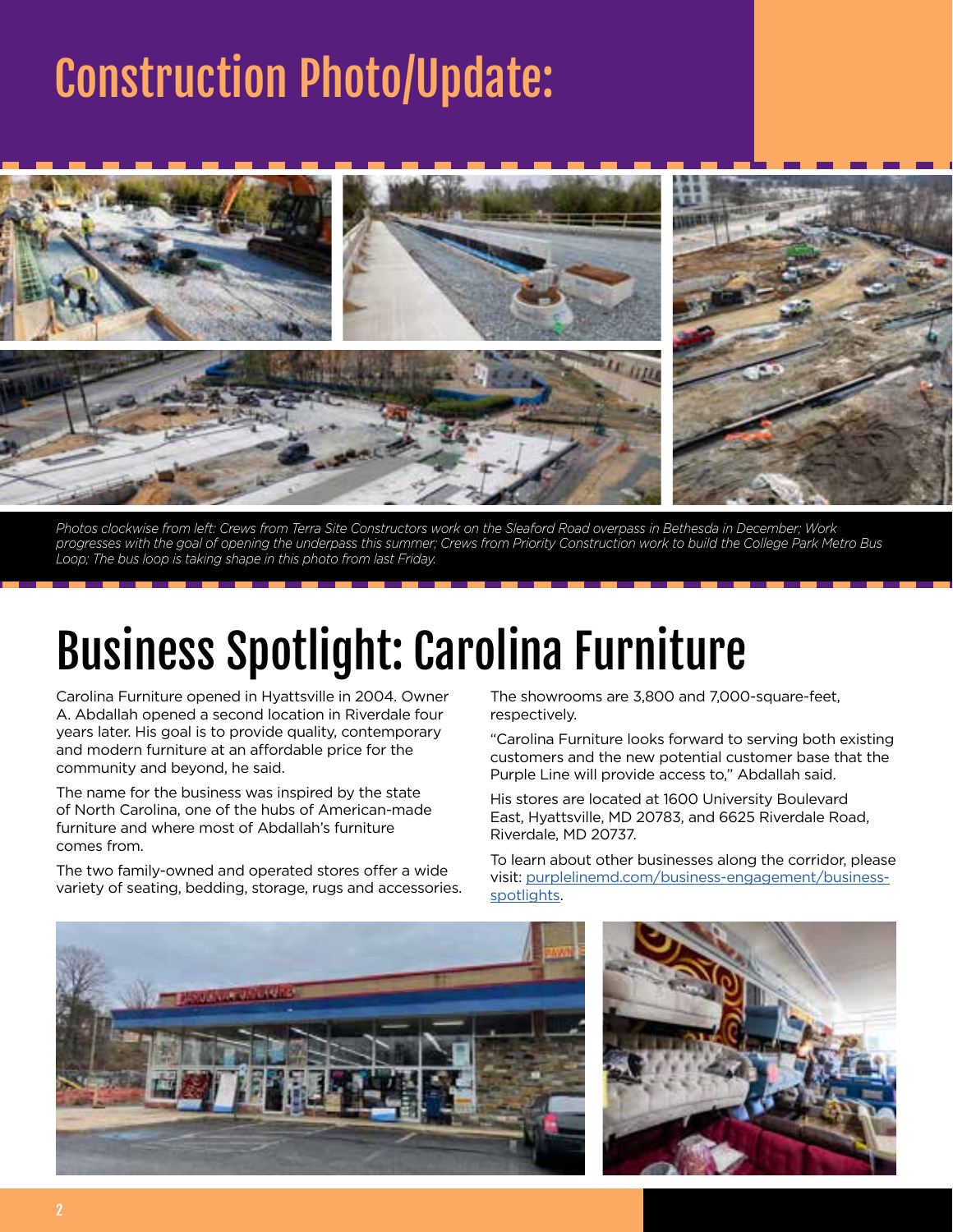# Construction Photo/Update:



*Photos clockwise from left: Crews from Terra Site Constructors work on the Sleaford Road overpass in Bethesda in December; Work progresses with the goal of opening the underpass this summer; Crews from Priority Construction work to build the College Park Metro Bus Loop; The bus loop is taking shape in this photo from last Friday.*

## Business Spotlight: Carolina Furniture

Carolina Furniture opened in Hyattsville in 2004. Owner A. Abdallah opened a second location in Riverdale four years later. His goal is to provide quality, contemporary and modern furniture at an affordable price for the community and beyond, he said.

The name for the business was inspired by the state of North Carolina, one of the hubs of American-made furniture and where most of Abdallah's furniture comes from.

The two family-owned and operated stores offer a wide variety of seating, bedding, storage, rugs and accessories.

The showrooms are 3,800 and 7,000-square-feet, respectively.

"Carolina Furniture looks forward to serving both existing customers and the new potential customer base that the Purple Line will provide access to," Abdallah said.

His stores are located at 1600 University Boulevard East, Hyattsville, MD 20783, and 6625 Riverdale Road, Riverdale, MD 20737.

To learn about other businesses along the corridor, please visit: [purplelinemd.com/business-engagement/business](https://www.purplelinemd.com/business-engagement/business-spotlights)[spotlights.](https://www.purplelinemd.com/business-engagement/business-spotlights)